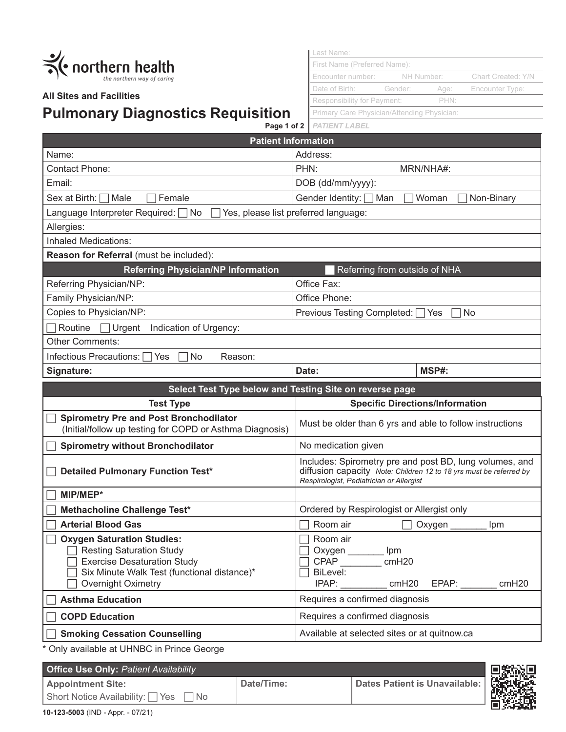

## **All Sites and Facilities**

## **Pulmonary Diagnostics Requisition**

Last Name: First Name (Preferred Name): Encounter number: NH Number: Chart Created: Y/N Date of Birth: Gender: Age: Encounter Type: Responsibility for Payment: PHN: Primary Care Physician/Attending Physician:

|                                                                                                           | <b>Page 1 of 2</b>   PATIENT LABEL                                                                                                                                        |  |  |
|-----------------------------------------------------------------------------------------------------------|---------------------------------------------------------------------------------------------------------------------------------------------------------------------------|--|--|
| <b>Patient Information</b>                                                                                |                                                                                                                                                                           |  |  |
| Name:                                                                                                     | Address:                                                                                                                                                                  |  |  |
| <b>Contact Phone:</b>                                                                                     | PHN:<br>MRN/NHA#:                                                                                                                                                         |  |  |
| Email:                                                                                                    | DOB (dd/mm/yyyy):                                                                                                                                                         |  |  |
| Sex at Birth: [<br>Male<br>Female                                                                         | Gender Identity: [<br>Non-Binary<br>∏Man<br>Woman                                                                                                                         |  |  |
| Language Interpreter Required: No                                                                         | Yes, please list preferred language:                                                                                                                                      |  |  |
| Allergies:                                                                                                |                                                                                                                                                                           |  |  |
| <b>Inhaled Medications:</b>                                                                               |                                                                                                                                                                           |  |  |
| Reason for Referral (must be included):                                                                   |                                                                                                                                                                           |  |  |
| <b>Referring Physician/NP Information</b>                                                                 | Referring from outside of NHA                                                                                                                                             |  |  |
| Referring Physician/NP:                                                                                   | Office Fax:                                                                                                                                                               |  |  |
| Family Physician/NP:                                                                                      | Office Phone:                                                                                                                                                             |  |  |
| Copies to Physician/NP:                                                                                   | Previous Testing Completed:<br>No<br>Yes                                                                                                                                  |  |  |
| $\Box$ Urgent<br>Indication of Urgency:<br>Routine                                                        |                                                                                                                                                                           |  |  |
| <b>Other Comments:</b>                                                                                    |                                                                                                                                                                           |  |  |
| Infectious Precautions:  <br>Yes]<br>No<br>Reason:                                                        |                                                                                                                                                                           |  |  |
| Signature:                                                                                                | MSP#:<br>Date:                                                                                                                                                            |  |  |
| Select Test Type below and Testing Site on reverse page                                                   |                                                                                                                                                                           |  |  |
| <b>Test Type</b>                                                                                          | <b>Specific Directions/Information</b>                                                                                                                                    |  |  |
| <b>Spirometry Pre and Post Bronchodilator</b><br>(Initial/follow up testing for COPD or Asthma Diagnosis) | Must be older than 6 yrs and able to follow instructions                                                                                                                  |  |  |
| <b>Spirometry without Bronchodilator</b>                                                                  | No medication given                                                                                                                                                       |  |  |
| <b>Detailed Pulmonary Function Test*</b>                                                                  | Includes: Spirometry pre and post BD, lung volumes, and<br>diffusion capacity Note: Children 12 to 18 yrs must be referred by<br>Respirologist, Pediatrician or Allergist |  |  |
| MIP/MEP*                                                                                                  |                                                                                                                                                                           |  |  |
| Methacholine Challenge Test*                                                                              | Ordered by Respirologist or Allergist only                                                                                                                                |  |  |
| <b>Arterial Blood Gas</b>                                                                                 | Room air<br>Oxygen<br>Ipm                                                                                                                                                 |  |  |
| <b>Oxygen Saturation Studies:</b>                                                                         | Room air                                                                                                                                                                  |  |  |

| <b>Oxygen Saturation Studies:</b>           | Room air                                     |  |
|---------------------------------------------|----------------------------------------------|--|
| <b>Resting Saturation Study</b>             | Oxygen<br>lpm                                |  |
| <b>Exercise Desaturation Study</b>          | <b>CPAP</b><br>cmH20                         |  |
| Six Minute Walk Test (functional distance)* | BiLevel:                                     |  |
| Overnight Oximetry                          | EPAP:<br>IPAP:<br>cmH <sub>20</sub><br>cmH20 |  |
| <b>Asthma Education</b>                     | Requires a confirmed diagnosis               |  |
| <b>COPD Education</b>                       | Requires a confirmed diagnosis               |  |
| <b>Smoking Cessation Counselling</b>        | Available at selected sites or at quitnow.ca |  |

\* Only available at UHNBC in Prince George

**Office Use Only:** *Patient Availability* **Appointment Site:**  Short Notice Availability: Yes No **Date/Time: Dates Patient is Unavailable:**